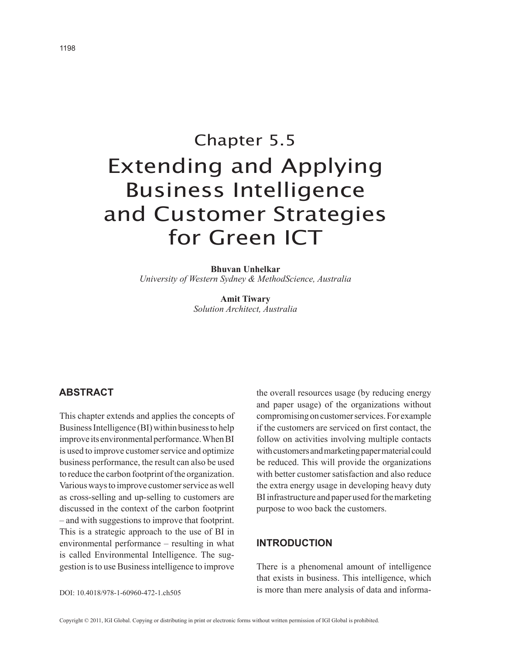# Chapter 5.5 Extending and Applying Business Intelligence and Customer Strategies for Green ICT

**Bhuvan Unhelkar** *University of Western Sydney & MethodScience, Australia*

> **Amit Tiwary** *Solution Architect, Australia*

# **ABSTRACT**

This chapter extends and applies the concepts of Business Intelligence (BI) within business to help improve its environmental performance. When BI is used to improve customer service and optimize business performance, the result can also be used to reduce the carbon footprint of the organization. Various ways to improve customer service as well as cross-selling and up-selling to customers are discussed in the context of the carbon footprint – and with suggestions to improve that footprint. This is a strategic approach to the use of BI in environmental performance – resulting in what is called Environmental Intelligence. The suggestion is to use Business intelligence to improve the overall resources usage (by reducing energy and paper usage) of the organizations without compromising on customer services. For example if the customers are serviced on first contact, the follow on activities involving multiple contacts with customers and marketing paper material could be reduced. This will provide the organizations with better customer satisfaction and also reduce the extra energy usage in developing heavy duty BI infrastructure and paper used for the marketing purpose to woo back the customers.

## **introduction**

There is a phenomenal amount of intelligence that exists in business. This intelligence, which is more than mere analysis of data and informa-

DOI: 10.4018/978-1-60960-472-1.ch505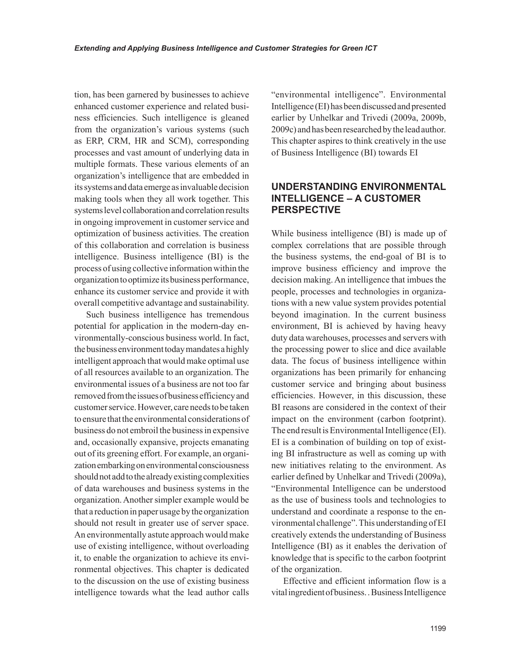tion, has been garnered by businesses to achieve enhanced customer experience and related business efficiencies. Such intelligence is gleaned from the organization's various systems (such as ERP, CRM, HR and SCM), corresponding processes and vast amount of underlying data in multiple formats. These various elements of an organization's intelligence that are embedded in its systems and data emerge as invaluable decision making tools when they all work together. This systems level collaboration and correlation results in ongoing improvement in customer service and optimization of business activities. The creation of this collaboration and correlation is business intelligence. Business intelligence (BI) is the process of using collective information within the organization to optimize its business performance, enhance its customer service and provide it with overall competitive advantage and sustainability.

Such business intelligence has tremendous potential for application in the modern-day environmentally-conscious business world. In fact, the business environment today mandates a highly intelligent approach that would make optimal use of all resources available to an organization. The environmental issues of a business are not too far removed from the issues of business efficiency and customer service. However, care needs to be taken to ensure that the environmental considerations of business do not embroil the business in expensive and, occasionally expansive, projects emanating out of its greening effort. For example, an organization embarking on environmental consciousness should not add to the already existing complexities of data warehouses and business systems in the organization. Another simpler example would be that a reduction in paper usage by the organization should not result in greater use of server space. An environmentally astute approach would make use of existing intelligence, without overloading it, to enable the organization to achieve its environmental objectives. This chapter is dedicated to the discussion on the use of existing business intelligence towards what the lead author calls

"environmental intelligence". Environmental Intelligence (EI) has been discussed and presented earlier by Unhelkar and Trivedi (2009a, 2009b, 2009c) and has been researched by the lead author. This chapter aspires to think creatively in the use of Business Intelligence (BI) towards EI

# **UNDERSTANDING ENVIRONMENTAL INTELLIGENCE – A CUSTOMER PERSPECTIVE**

While business intelligence (BI) is made up of complex correlations that are possible through the business systems, the end-goal of BI is to improve business efficiency and improve the decision making. An intelligence that imbues the people, processes and technologies in organizations with a new value system provides potential beyond imagination. In the current business environment, BI is achieved by having heavy duty data warehouses, processes and servers with the processing power to slice and dice available data. The focus of business intelligence within organizations has been primarily for enhancing customer service and bringing about business efficiencies. However, in this discussion, these BI reasons are considered in the context of their impact on the environment (carbon footprint). The end result is Environmental Intelligence (EI). EI is a combination of building on top of existing BI infrastructure as well as coming up with new initiatives relating to the environment. As earlier defined by Unhelkar and Trivedi (2009a), "Environmental Intelligence can be understood as the use of business tools and technologies to understand and coordinate a response to the environmental challenge". This understanding of EI creatively extends the understanding of Business Intelligence (BI) as it enables the derivation of knowledge that is specific to the carbon footprint of the organization.

Effective and efficient information flow is a vital ingredient of business. . Business Intelligence